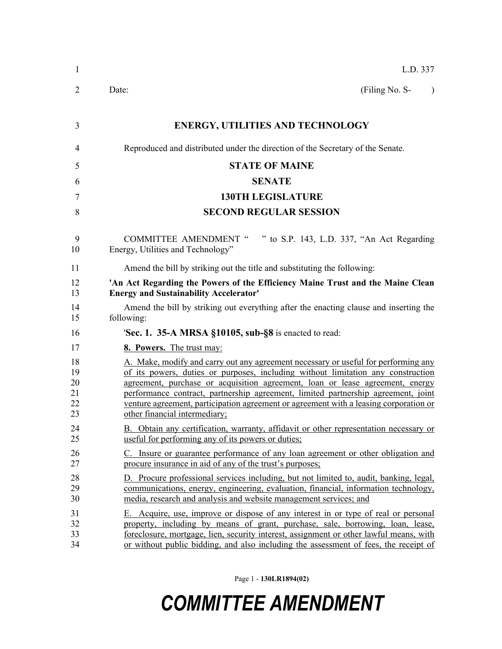| $\mathbf{1}$                     | L.D. 337                                                                                                                                                                                                                                                                                                                                                                                                                                                               |
|----------------------------------|------------------------------------------------------------------------------------------------------------------------------------------------------------------------------------------------------------------------------------------------------------------------------------------------------------------------------------------------------------------------------------------------------------------------------------------------------------------------|
| 2                                | (Filing No. S-<br>Date:<br>$\lambda$                                                                                                                                                                                                                                                                                                                                                                                                                                   |
| 3                                | <b>ENERGY, UTILITIES AND TECHNOLOGY</b>                                                                                                                                                                                                                                                                                                                                                                                                                                |
| $\overline{4}$                   | Reproduced and distributed under the direction of the Secretary of the Senate.                                                                                                                                                                                                                                                                                                                                                                                         |
| 5                                | <b>STATE OF MAINE</b>                                                                                                                                                                                                                                                                                                                                                                                                                                                  |
| 6                                | <b>SENATE</b>                                                                                                                                                                                                                                                                                                                                                                                                                                                          |
| 7                                | <b>130TH LEGISLATURE</b>                                                                                                                                                                                                                                                                                                                                                                                                                                               |
| 8                                | <b>SECOND REGULAR SESSION</b>                                                                                                                                                                                                                                                                                                                                                                                                                                          |
| 9<br>10                          | COMMITTEE AMENDMENT " " to S.P. 143, L.D. 337, "An Act Regarding<br>Energy, Utilities and Technology"                                                                                                                                                                                                                                                                                                                                                                  |
| 11                               | Amend the bill by striking out the title and substituting the following:                                                                                                                                                                                                                                                                                                                                                                                               |
| 12<br>13                         | 'An Act Regarding the Powers of the Efficiency Maine Trust and the Maine Clean<br><b>Energy and Sustainability Accelerator'</b>                                                                                                                                                                                                                                                                                                                                        |
| 14<br>15                         | Amend the bill by striking out everything after the enacting clause and inserting the<br>following:                                                                                                                                                                                                                                                                                                                                                                    |
| 16                               | <b>Sec. 1. 35-A MRSA §10105, sub-§8</b> is enacted to read:                                                                                                                                                                                                                                                                                                                                                                                                            |
| 17                               | 8. Powers. The trust may:                                                                                                                                                                                                                                                                                                                                                                                                                                              |
| 18<br>19<br>20<br>21<br>22<br>23 | A. Make, modify and carry out any agreement necessary or useful for performing any<br>of its powers, duties or purposes, including without limitation any construction<br>agreement, purchase or acquisition agreement, loan or lease agreement, energy<br>performance contract, partnership agreement, limited partnership agreement, joint<br>venture agreement, participation agreement or agreement with a leasing corporation or<br>other financial intermediary; |
| 24<br>25                         | B. Obtain any certification, warranty, affidavit or other representation necessary or<br>useful for performing any of its powers or duties;                                                                                                                                                                                                                                                                                                                            |
| 26<br>27                         | C. Insure or guarantee performance of any loan agreement or other obligation and<br>procure insurance in aid of any of the trust's purposes;                                                                                                                                                                                                                                                                                                                           |
| 28<br>29<br>30                   | D. Procure professional services including, but not limited to, audit, banking, legal,<br>communications, energy, engineering, evaluation, financial, information technology,<br>media, research and analysis and website management services; and                                                                                                                                                                                                                     |
| 31<br>32<br>33<br>34             | E. Acquire, use, improve or dispose of any interest in or type of real or personal<br>property, including by means of grant, purchase, sale, borrowing, loan, lease,<br>foreclosure, mortgage, lien, security interest, assignment or other lawful means, with<br>or without public bidding, and also including the assessment of fees, the receipt of                                                                                                                 |

Page 1 - **130LR1894(02)**

## *COMMITTEE AMENDMENT*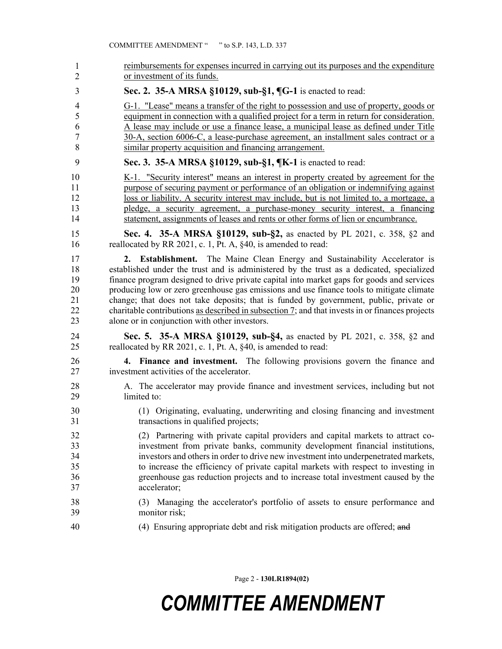| 1              | reimbursements for expenses incurred in carrying out its purposes and the expenditure           |
|----------------|-------------------------------------------------------------------------------------------------|
| $\overline{2}$ | or investment of its funds.                                                                     |
| 3              | Sec. 2. 35-A MRSA §10129, sub-§1, ¶G-1 is enacted to read:                                      |
| 4              | G-1. "Lease" means a transfer of the right to possession and use of property, goods or          |
| 5              | equipment in connection with a qualified project for a term in return for consideration.        |
| 6              | A lease may include or use a finance lease, a municipal lease as defined under Title            |
| 7              | 30-A, section 6006-C, a lease-purchase agreement, an installment sales contract or a            |
| 8              | similar property acquisition and financing arrangement.                                         |
| 9              | Sec. 3. 35-A MRSA §10129, sub-§1, ¶K-1 is enacted to read:                                      |
| 10             | K-1. "Security interest" means an interest in property created by agreement for the             |
| 11             | purpose of securing payment or performance of an obligation or indemnifying against             |
| 12             | loss or liability. A security interest may include, but is not limited to, a mortgage, a        |
| 13             | pledge, a security agreement, a purchase-money security interest, a financing                   |
| 14             | statement, assignments of leases and rents or other forms of lien or encumbrance.               |
| 15             | Sec. 4. 35-A MRSA §10129, sub-§2, as enacted by PL 2021, c. 358, §2 and                         |
| 16             | reallocated by RR 2021, c. 1, Pt. A, §40, is amended to read:                                   |
| 17             | <b>2. Establishment.</b> The Maine Clean Energy and Sustainability Accelerator is               |
| 18             | established under the trust and is administered by the trust as a dedicated, specialized        |
| 19             | finance program designed to drive private capital into market gaps for goods and services       |
| 20             | producing low or zero greenhouse gas emissions and use finance tools to mitigate climate        |
| 21             | change; that does not take deposits; that is funded by government, public, private or           |
| 22             | charitable contributions as described in subsection 7; and that invests in or finances projects |
| 23             | alone or in conjunction with other investors.                                                   |
| 24             | Sec. 5. 35-A MRSA §10129, sub-§4, as enacted by PL 2021, c. 358, §2 and                         |
| 25             | reallocated by RR 2021, c. 1, Pt. A, §40, is amended to read:                                   |
| 26             | 4. Finance and investment. The following provisions govern the finance and                      |
| 27             | investment activities of the accelerator.                                                       |
| 28             | A. The accelerator may provide finance and investment services, including but not               |
| 29             | limited to:                                                                                     |
| 30             | (1) Originating, evaluating, underwriting and closing financing and investment                  |
| 31             | transactions in qualified projects;                                                             |
| 32             | (2) Partnering with private capital providers and capital markets to attract co-                |
| 33             | investment from private banks, community development financial institutions,                    |
| 34             | investors and others in order to drive new investment into underpenetrated markets,             |
| 35             | to increase the efficiency of private capital markets with respect to investing in              |
| 36             | greenhouse gas reduction projects and to increase total investment caused by the                |
| 37             | accelerator;                                                                                    |
| 38             | (3) Managing the accelerator's portfolio of assets to ensure performance and                    |
| 39             | monitor risk;                                                                                   |
| 40             | (4) Ensuring appropriate debt and risk mitigation products are offered; and                     |

Page 2 - **130LR1894(02)**

## *COMMITTEE AMENDMENT*